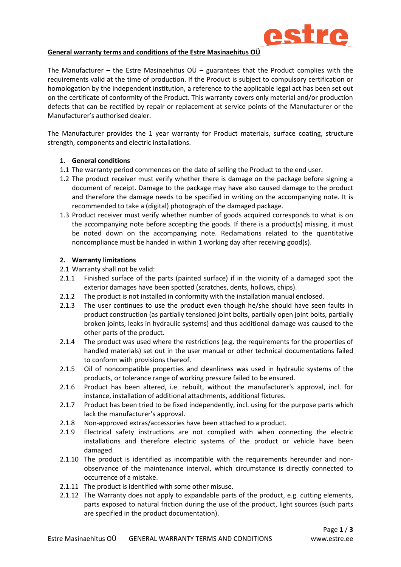

### **General warranty terms and conditions of the Estre Masinaehitus OÜ**

The Manufacturer – the Estre Masinaehitus  $O\ddot{U}$  – guarantees that the Product complies with the requirements valid at the time of production. If the Product is subject to compulsory certification or homologation by the independent institution, a reference to the applicable legal act has been set out on the certificate of conformity of the Product. This warranty covers only material and/or production defects that can be rectified by repair or replacement at service points of the Manufacturer or the Manufacturer's authorised dealer.

The Manufacturer provides the 1 year warranty for Product materials, surface coating, structure strength, components and electric installations.

#### **1. General conditions**

- 1.1 The warranty period commences on the date of selling the Product to the end user.
- 1.2 The product receiver must verify whether there is damage on the package before signing a document of receipt. Damage to the package may have also caused damage to the product and therefore the damage needs to be specified in writing on the accompanying note. It is recommended to take a (digital) photograph of the damaged package.
- 1.3 Product receiver must verify whether number of goods acquired corresponds to what is on the accompanying note before accepting the goods. If there is a product(s) missing, it must be noted down on the accompanying note. Reclamations related to the quantitative noncompliance must be handed in within 1 working day after receiving good(s).

# **2. Warranty limitations**

- 2.1 Warranty shall not be valid:
- 2.1.1 Finished surface of the parts (painted surface) if in the vicinity of a damaged spot the exterior damages have been spotted (scratches, dents, hollows, chips).
- 2.1.2 The product is not installed in conformity with the installation manual enclosed.
- 2.1.3 The user continues to use the product even though he/she should have seen faults in product construction (as partially tensioned joint bolts, partially open joint bolts, partially broken joints, leaks in hydraulic systems) and thus additional damage was caused to the other parts of the product.
- 2.1.4 The product was used where the restrictions (e.g. the requirements for the properties of handled materials) set out in the user manual or other technical documentations failed to conform with provisions thereof.
- 2.1.5 Oil of noncompatible properties and cleanliness was used in hydraulic systems of the products, or tolerance range of working pressure failed to be ensured.
- 2.1.6 Product has been altered, i.e. rebuilt, without the manufacturer's approval, incl. for instance, installation of additional attachments, additional fixtures.
- 2.1.7 Product has been tried to be fixed independently, incl. using for the purpose parts which lack the manufacturer's approval.
- 2.1.8 Non-approved extras/accessories have been attached to a product.
- 2.1.9 Electrical safety instructions are not complied with when connecting the electric installations and therefore electric systems of the product or vehicle have been damaged.
- 2.1.10 The product is identified as incompatible with the requirements hereunder and nonobservance of the maintenance interval, which circumstance is directly connected to occurrence of a mistake.
- 2.1.11 The product is identified with some other misuse.
- 2.1.12 The Warranty does not apply to expandable parts of the product, e.g. cutting elements, parts exposed to natural friction during the use of the product, light sources (such parts are specified in the product documentation).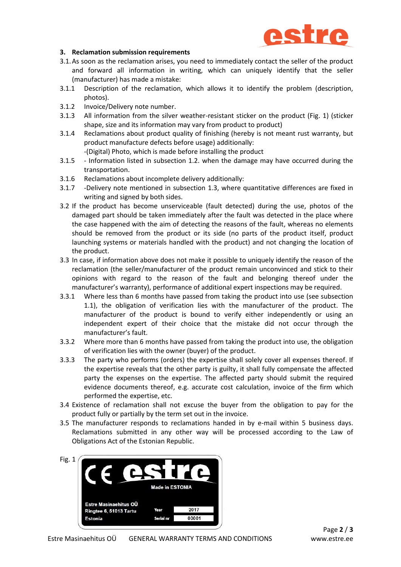

### **3. Reclamation submission requirements**

- 3.1.As soon as the reclamation arises, you need to immediately contact the seller of the product and forward all information in writing, which can uniquely identify that the seller (manufacturer) has made a mistake:
- 3.1.1 Description of the reclamation, which allows it to identify the problem (description, photos).
- 3.1.2 Invoice/Delivery note number.
- 3.1.3 All information from the silver weather-resistant sticker on the product (Fig. 1) (sticker shape, size and its information may vary from product to product)
- 3.1.4 Reclamations about product quality of finishing (hereby is not meant rust warranty, but product manufacture defects before usage) additionally:

-(Digital) Photo, which is made before installing the product

- 3.1.5 Information listed in subsection 1.2. when the damage may have occurred during the transportation.
- 3.1.6 Reclamations about incomplete delivery additionally:
- 3.1.7 -Delivery note mentioned in subsection 1.3, where quantitative differences are fixed in writing and signed by both sides.
- 3.2 If the product has become unserviceable (fault detected) during the use, photos of the damaged part should be taken immediately after the fault was detected in the place where the case happened with the aim of detecting the reasons of the fault, whereas no elements should be removed from the product or its side (no parts of the product itself, product launching systems or materials handled with the product) and not changing the location of the product.
- 3.3 In case, if information above does not make it possible to uniquely identify the reason of the reclamation (the seller/manufacturer of the product remain unconvinced and stick to their opinions with regard to the reason of the fault and belonging thereof under the manufacturer's warranty), performance of additional expert inspections may be required.
- 3.3.1 Where less than 6 months have passed from taking the product into use (see subsection 1.1), the obligation of verification lies with the manufacturer of the product. The manufacturer of the product is bound to verify either independently or using an independent expert of their choice that the mistake did not occur through the manufacturer's fault.
- 3.3.2 Where more than 6 months have passed from taking the product into use, the obligation of verification lies with the owner (buyer) of the product.
- 3.3.3 The party who performs (orders) the expertise shall solely cover all expenses thereof. If the expertise reveals that the other party is guilty, it shall fully compensate the affected party the expenses on the expertise. The affected party should submit the required evidence documents thereof, e.g. accurate cost calculation, invoice of the firm which performed the expertise, etc.
- 3.4 Existence of reclamation shall not excuse the buyer from the obligation to pay for the product fully or partially by the term set out in the invoice.
- 3.5 The manufacturer responds to reclamations handed in by e-mail within 5 business days. Reclamations submitted in any other way will be processed according to the Law of Obligations Act of the Estonian Republic.